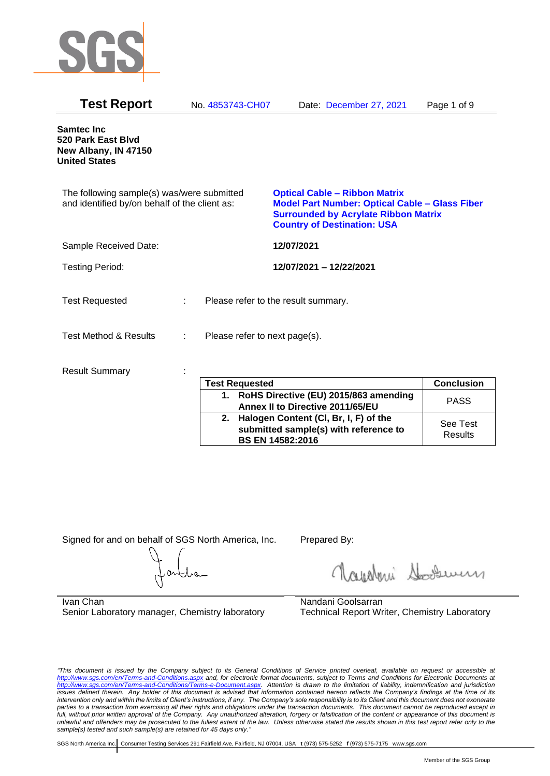

| <b>Test Report</b>                                                                          | No. 4853743-CH07              | Date: December 27, 2021                                                                                                                                                            | Page 1 of 9 |
|---------------------------------------------------------------------------------------------|-------------------------------|------------------------------------------------------------------------------------------------------------------------------------------------------------------------------------|-------------|
| <b>Samtec Inc</b><br>520 Park East Blvd<br>New Albany, IN 47150<br><b>United States</b>     |                               |                                                                                                                                                                                    |             |
| The following sample(s) was/were submitted<br>and identified by/on behalf of the client as: |                               | <b>Optical Cable - Ribbon Matrix</b><br><b>Model Part Number: Optical Cable - Glass Fiber</b><br><b>Surrounded by Acrylate Ribbon Matrix</b><br><b>Country of Destination: USA</b> |             |
| Sample Received Date:                                                                       |                               | 12/07/2021                                                                                                                                                                         |             |
| <b>Testing Period:</b>                                                                      |                               | 12/07/2021 - 12/22/2021                                                                                                                                                            |             |
| <b>Test Requested</b>                                                                       |                               | Please refer to the result summary.                                                                                                                                                |             |
| <b>Test Method &amp; Results</b>                                                            | Please refer to next page(s). |                                                                                                                                                                                    |             |
| <b>Result Summary</b>                                                                       | <b>Tast Ramiastad</b>         |                                                                                                                                                                                    | Conclusion  |

| <b>Test Requested</b>                                                                                        | <b>Conclusion</b>   |
|--------------------------------------------------------------------------------------------------------------|---------------------|
| 1. RoHS Directive (EU) 2015/863 amending<br>Annex II to Directive 2011/65/EU                                 | <b>PASS</b>         |
| 2. Halogen Content (CI, Br, I, F) of the<br>submitted sample(s) with reference to<br><b>BS EN 14582:2016</b> | See Test<br>Results |

Signed for and on behalf of SGS North America, Inc. Prepared By:

Navaloui Sousen

Ivan Chan Senior Laboratory manager, Chemistry laboratory

Nandani Goolsarran Technical Report Writer, Chemistry Laboratory

*"This document is issued by the Company subject to its General Conditions of Service printed overleaf, available on request or accessible at <http://www.sgs.com/en/Terms-and-Conditions.aspx> and, for electronic format documents, subject to Terms and Conditions for Electronic Documents at [http://www.sgs.com/en/Terms-and-Conditions/Terms-e-Document.aspx.](http://www.sgs.com/en/Terms-and-Conditions/Terms-e-Document.aspx) Attention is drawn to the limitation of liability, indemnification and jurisdiction issues defined therein. Any holder of this document is advised that information contained hereon reflects the Company's findings at the time of its intervention only and within the limits of Client's instructions, if any. The Company's sole responsibility is to its Client and this document does not exonerate parties to a transaction from exercising all their rights and obligations under the transaction documents. This document cannot be reproduced except in full, without prior written approval of the Company. Any unauthorized alteration, forgery or falsification of the content or appearance of this document is unlawful and offenders may be prosecuted to the fullest extent of the law. Unless otherwise stated the results shown in this test report refer only to the sample(s) tested and such sample(s) are retained for 45 days only."*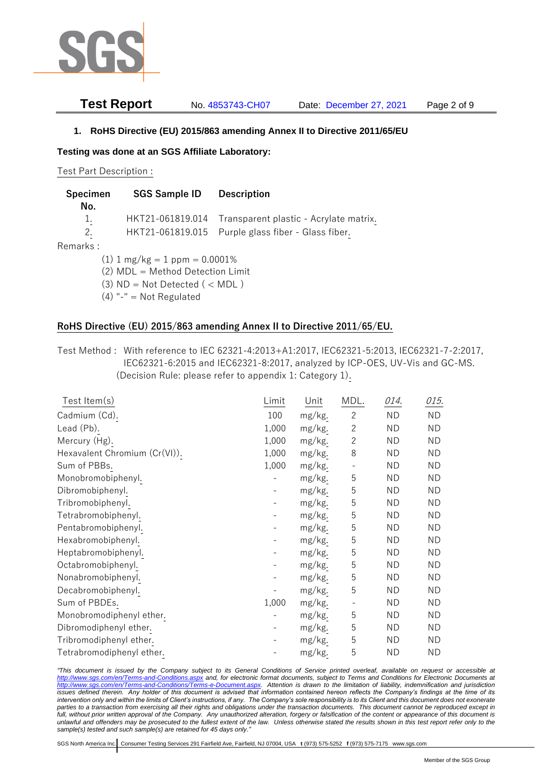

**Test Report** No. 4853743-CH07 Date: December 27, 2021 Page 2 of 9

**1. RoHS Directive (EU) 2015/863 amending Annex II to Directive 2011/65/EU**

**Testing was done at an SGS Affiliate Laboratory:**

Test Part Description :

| Specimen<br>No. | <b>SGS Sample ID</b>               | <b>Description</b>                     |
|-----------------|------------------------------------|----------------------------------------|
| 1.              | HKT21-061819.014                   | Transparent plastic - Acrylate matrix. |
| 2.              | HKT21-061819.015                   | Purple glass fiber - Glass fiber.      |
| Remarks :       |                                    |                                        |
|                 | $(1)$ 1 mg/kg = 1 ppm = 0.0001%    |                                        |
|                 | (2) MDL = Method Detection Limit   |                                        |
|                 | $(3)$ ND = Not Detected $($ < MDL) |                                        |
|                 | $(4)$ "-" = Not Regulated          |                                        |
|                 |                                    |                                        |

# **RoHS Directive (EU) 2015/863 amending Annex II to Directive 2011/65/EU.**

Test Method : With reference to IEC 62321-4:2013+A1:2017, IEC62321-5:2013, IEC62321-7-2:2017, IEC62321-6:2015 and IEC62321-8:2017, analyzed by ICP-OES, UV-Vis and GC-MS. (Decision Rule: please refer to appendix 1: Category 1).

| Test Item $(s)$               | Limit | Unit   | MDL.              | 014.      | 015.      |
|-------------------------------|-------|--------|-------------------|-----------|-----------|
| Cadmium (Cd).                 | 100   | mg/kg. | $\overline{2}$    | <b>ND</b> | <b>ND</b> |
| Lead (Pb).                    | 1,000 | mg/kg. | $\overline{c}$    | <b>ND</b> | <b>ND</b> |
| Mercury (Hg).                 | 1,000 | mg/kg. | $\overline{c}$    | <b>ND</b> | ND        |
| Hexavalent Chromium (Cr(VI)). | 1,000 | mg/kg. | 8                 | <b>ND</b> | <b>ND</b> |
| Sum of PBBs.                  | 1,000 | mg/kg. | $\qquad \qquad -$ | ND        | ND        |
| Monobromobiphenyl.            |       | mg/kg. | 5                 | <b>ND</b> | ND        |
| Dibromobiphenyl.              |       | mg/kg. | 5                 | ND        | ND        |
| Tribromobiphenyl.             |       | mg/kg. | 5                 | ND.       | ND        |
| Tetrabromobiphenyl.           |       | mg/kg. | 5                 | ND        | ND        |
| Pentabromobiphenyl.           |       | mg/kg. | 5                 | ND        | ND        |
| Hexabromobiphenyl.            |       | mg/kg. | 5                 | <b>ND</b> | <b>ND</b> |
| Heptabromobiphenyl.           |       | mg/kg. | 5                 | <b>ND</b> | <b>ND</b> |
| Octabromobiphenyl.            |       | mg/kg. | 5                 | <b>ND</b> | <b>ND</b> |
| Nonabromobiphenyl.            |       | mg/kg. | 5                 | <b>ND</b> | <b>ND</b> |
| Decabromobiphenyl.            |       | mg/kg. | 5                 | <b>ND</b> | <b>ND</b> |
| Sum of PBDEs.                 | 1,000 | mg/kg. |                   | <b>ND</b> | <b>ND</b> |
| Monobromodiphenyl ether.      |       | mg/kg. | 5                 | <b>ND</b> | <b>ND</b> |
| Dibromodiphenyl ether.        |       | mg/kg. | 5                 | <b>ND</b> | <b>ND</b> |
| Tribromodiphenyl ether.       |       | mg/kg. | 5                 | ND        | <b>ND</b> |
| Tetrabromodiphenyl ether.     |       | mg/kg. | 5                 | <b>ND</b> | <b>ND</b> |

*"This document is issued by the Company subject to its General Conditions of Service printed overleaf, available on request or accessible at <http://www.sgs.com/en/Terms-and-Conditions.aspx> and, for electronic format documents, subject to Terms and Conditions for Electronic Documents at [http://www.sgs.com/en/Terms-and-Conditions/Terms-e-Document.aspx.](http://www.sgs.com/en/Terms-and-Conditions/Terms-e-Document.aspx) Attention is drawn to the limitation of liability, indemnification and jurisdiction issues defined therein. Any holder of this document is advised that information contained hereon reflects the Company's findings at the time of its intervention only and within the limits of Client's instructions, if any. The Company's sole responsibility is to its Client and this document does not exonerate parties to a transaction from exercising all their rights and obligations under the transaction documents. This document cannot be reproduced except in full, without prior written approval of the Company. Any unauthorized alteration, forgery or falsification of the content or appearance of this document is unlawful and offenders may be prosecuted to the fullest extent of the law. Unless otherwise stated the results shown in this test report refer only to the sample(s) tested and such sample(s) are retained for 45 days only."*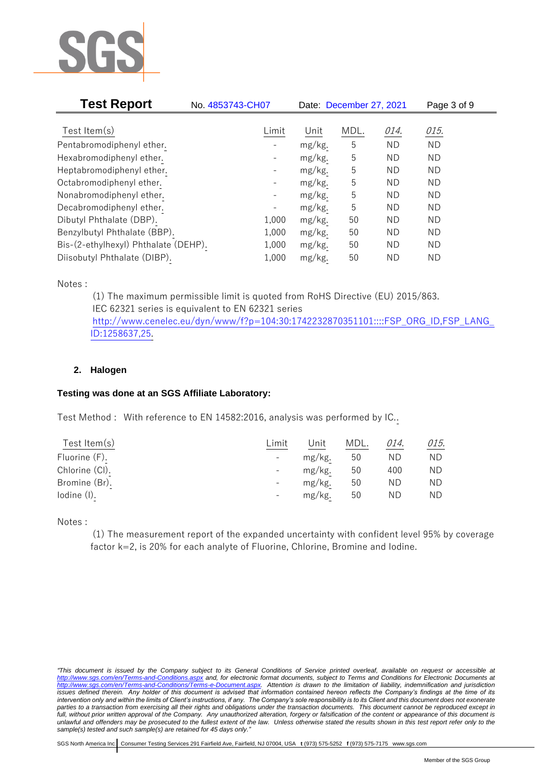

| <b>Test Report</b>                   | No. 4853743-CH07         |        | Date: December 27, 2021 |           | Page 3 of 9 |  |
|--------------------------------------|--------------------------|--------|-------------------------|-----------|-------------|--|
|                                      |                          |        |                         |           |             |  |
| Test Item $(s)$                      | Limit                    | Unit   | MDL.                    | 014.      | 015.        |  |
| Pentabromodiphenyl ether.            |                          | mg/kg. | 5                       | <b>ND</b> | <b>ND</b>   |  |
| Hexabromodiphenyl ether.             |                          | mg/kg. | 5                       | <b>ND</b> | <b>ND</b>   |  |
| Heptabromodiphenyl ether.            | $\overline{\phantom{a}}$ | mg/kg. | 5                       | ND.       | <b>ND</b>   |  |
| Octabromodiphenyl ether.             | -                        | mg/kg. | 5                       | ND.       | ND.         |  |
| Nonabromodiphenyl ether.             |                          | mg/kg. | 5                       | <b>ND</b> | <b>ND</b>   |  |
| Decabromodiphenyl ether.             |                          | mg/kg. | 5                       | <b>ND</b> | <b>ND</b>   |  |
| Dibutyl Phthalate (DBP).             | 1,000                    | mg/kg. | 50                      | <b>ND</b> | <b>ND</b>   |  |
| Benzylbutyl Phthalate (BBP).         | 1,000                    | mg/kg. | 50                      | ND.       | <b>ND</b>   |  |
| Bis-(2-ethylhexyl) Phthalate (DEHP). | 1,000                    | mg/kg. | 50                      | <b>ND</b> | <b>ND</b>   |  |
| Diisobutyl Phthalate (DIBP).         | 1,000                    | mg/kg. | 50                      | ND.       | ND          |  |

Notes :

(1) The maximum permissible limit is quoted from RoHS Directive (EU) 2015/863. IEC 62321 series is equivalent to EN 62321 series [http://www.cenelec.eu/dyn/www/f?p=104:30:1742232870351101::::FSP\\_ORG\\_ID,FSP\\_LANG\\_](http://www.cenelec.eu/dyn/www/f?p=104:30:1742232870351101::::FSP_ORG_ID,FSP_LANG_ID:1258637,25) [ID:1258637,25.](http://www.cenelec.eu/dyn/www/f?p=104:30:1742232870351101::::FSP_ORG_ID,FSP_LANG_ID:1258637,25)

# **2. Halogen**

# **Testing was done at an SGS Affiliate Laboratory:**

Test Method : With reference to EN 14582:2016, analysis was performed by IC..

| Limit                    | Jnit   | MDL. | 014. | 015. |
|--------------------------|--------|------|------|------|
| $\overline{\phantom{a}}$ | mg/kg. | 50   | ΝD   | ΝD   |
| $\overline{\phantom{a}}$ | mg/kg. | 50   | 400  | ΝD   |
| $\overline{\phantom{a}}$ | mg/kg. | 50   | ΝD   | ΝD   |
| $\overline{\phantom{0}}$ | mg/kg. | 50   | ND   | ΝD   |
|                          |        |      |      |      |

Notes :

(1) The measurement report of the expanded uncertainty with confident level 95% by coverage factor k=2, is 20% for each analyte of Fluorine, Chlorine, Bromine and Iodine.

*<sup>&</sup>quot;This document is issued by the Company subject to its General Conditions of Service printed overleaf, available on request or accessible at <http://www.sgs.com/en/Terms-and-Conditions.aspx> and, for electronic format documents, subject to Terms and Conditions for Electronic Documents at [http://www.sgs.com/en/Terms-and-Conditions/Terms-e-Document.aspx.](http://www.sgs.com/en/Terms-and-Conditions/Terms-e-Document.aspx) Attention is drawn to the limitation of liability, indemnification and jurisdiction issues defined therein. Any holder of this document is advised that information contained hereon reflects the Company's findings at the time of its intervention only and within the limits of Client's instructions, if any. The Company's sole responsibility is to its Client and this document does not exonerate parties to a transaction from exercising all their rights and obligations under the transaction documents. This document cannot be reproduced except in full, without prior written approval of the Company. Any unauthorized alteration, forgery or falsification of the content or appearance of this document is unlawful and offenders may be prosecuted to the fullest extent of the law. Unless otherwise stated the results shown in this test report refer only to the sample(s) tested and such sample(s) are retained for 45 days only."*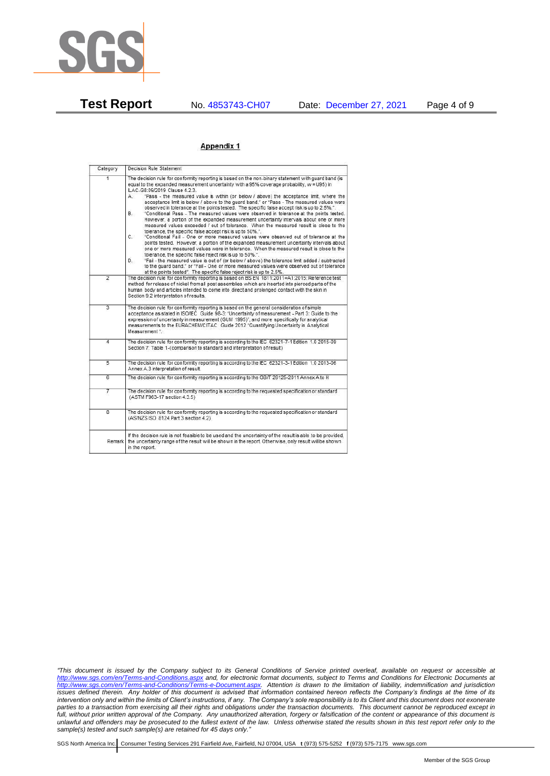

## Appendix 1

| Category                | Decision Rule Statement                                                                                                                                                                                                                                                                                                                                                                                                                                                                                                                                                                                                                                                                                                                                                                                                                                                                                                                                                                                                                                                                                                                                                                                                                                                                                                                                                                                                                                                                                                       |
|-------------------------|-------------------------------------------------------------------------------------------------------------------------------------------------------------------------------------------------------------------------------------------------------------------------------------------------------------------------------------------------------------------------------------------------------------------------------------------------------------------------------------------------------------------------------------------------------------------------------------------------------------------------------------------------------------------------------------------------------------------------------------------------------------------------------------------------------------------------------------------------------------------------------------------------------------------------------------------------------------------------------------------------------------------------------------------------------------------------------------------------------------------------------------------------------------------------------------------------------------------------------------------------------------------------------------------------------------------------------------------------------------------------------------------------------------------------------------------------------------------------------------------------------------------------------|
| 1                       | The decision rule for conformity reporting is based on the non-binary statement with quard band (is<br>equal to the expanded measurement uncertainty with a 95% coverage probability, w = U95) in<br>ILAC-G8:09/2019 Clause 4.2.3.<br>"Pass - the measured value is within (or below / above) the acceptance limit, where the<br>А.<br>acceptance limit is below / above to the quard band," or "Pass - The measured values were<br>observed in tolerance at the points tested. The specific false accept risk is up to 2.5%.".<br><b>B</b><br>"Conditional Pass - The measured values were observed in tolerance at the points tested.<br>However, a portion of the expanded measurement uncertainty intervals about one or more<br>measured values exceeded / out of tolerance. When the measured result is close to the<br>tolerance, the specific false accept risk is up to 50%.".<br>$C_{n}$<br>"Conditional Fail - One or more measured values were observed out of tolerance at the<br>points tested. However, a portion of the expanded measurement uncertainty intervals about<br>one or more measured values were in tolerance. When the measured result is close to the<br>tolerance, the specific false reject risk is up to 50%.".<br>"Fail - the measured value is out of (or below / above) the tolerance limit added / subtracted<br>D.<br>to the guard band." or "Fail - One or more measured values were observed out of tolerance<br>at the points tested". The specific false reject risk is up to 2.5%. |
| $\overline{2}$          | The decision rule for conformity reporting is based on BS EN 1811:2011+A1:2015: Reference test<br>method for release of nickel from all post assemblies which are inserted into pierced parts of the<br>human body and articles intended to come into direct and prolonged contact with the skin in<br>Section 9.2 interpretation of results.                                                                                                                                                                                                                                                                                                                                                                                                                                                                                                                                                                                                                                                                                                                                                                                                                                                                                                                                                                                                                                                                                                                                                                                 |
| $\overline{3}$          | The decision rule for conformity reporting is based on the general consideration of simple<br>acceptance as stated in ISO/IEC Guide 98-3: "Uncertainty of measurement - Part 3: Guide to the<br>expression of uncertainty in measurement (GUM 1995)", and more specifically for analytical<br>measurements to the EURACHEM/CITAC Guide 2012 "Quantifying Uncertainty in Analytical<br>Measurement *                                                                                                                                                                                                                                                                                                                                                                                                                                                                                                                                                                                                                                                                                                                                                                                                                                                                                                                                                                                                                                                                                                                           |
| 4                       | The decision rule for conformity reporting is according to the IEC 62321-7-1 Edition 1.0 2015-09<br>Section 7: Table 1-(comparison to standard and interpretation of result)                                                                                                                                                                                                                                                                                                                                                                                                                                                                                                                                                                                                                                                                                                                                                                                                                                                                                                                                                                                                                                                                                                                                                                                                                                                                                                                                                  |
| 5                       | The decision rule for conformity reporting is according to the IEC 62321-3-1 Edition 1.0 2013-06<br>Annex A.3 interpretation of result.                                                                                                                                                                                                                                                                                                                                                                                                                                                                                                                                                                                                                                                                                                                                                                                                                                                                                                                                                                                                                                                                                                                                                                                                                                                                                                                                                                                       |
| 6                       | The decision rule for conformity reporting is according to the GB/T 26125-2011 Annex A to H                                                                                                                                                                                                                                                                                                                                                                                                                                                                                                                                                                                                                                                                                                                                                                                                                                                                                                                                                                                                                                                                                                                                                                                                                                                                                                                                                                                                                                   |
| 7                       | The decision rule for conformity reporting is according to the requested specification or standard<br>(ASTM F963-17 section 4.3.5)                                                                                                                                                                                                                                                                                                                                                                                                                                                                                                                                                                                                                                                                                                                                                                                                                                                                                                                                                                                                                                                                                                                                                                                                                                                                                                                                                                                            |
| $\overline{\mathbf{8}}$ | The decision rule for conformity reporting is according to the requested specification or standard<br>(AS/NZS ISO 8124 Part 3 section 4.2)                                                                                                                                                                                                                                                                                                                                                                                                                                                                                                                                                                                                                                                                                                                                                                                                                                                                                                                                                                                                                                                                                                                                                                                                                                                                                                                                                                                    |
| Remark                  | If the decision rule is not feasible to be used and the uncertainty of the result is able to be provided.<br>the uncertainty range of the result will be shown in the report. Otherwise, only result will be shown<br>in the report.                                                                                                                                                                                                                                                                                                                                                                                                                                                                                                                                                                                                                                                                                                                                                                                                                                                                                                                                                                                                                                                                                                                                                                                                                                                                                          |

*"This document is issued by the Company subject to its General Conditions of Service printed overleaf, available on request or accessible at <http://www.sgs.com/en/Terms-and-Conditions.aspx> and, for electronic format documents, subject to Terms and Conditions for Electronic Documents at [http://www.sgs.com/en/Terms-and-Conditions/Terms-e-Document.aspx.](http://www.sgs.com/en/Terms-and-Conditions/Terms-e-Document.aspx) Attention is drawn to the limitation of liability, indemnification and jurisdiction issues defined therein. Any holder of this document is advised that information contained hereon reflects the Company's findings at the time of its intervention only and within the limits of Client's instructions, if any. The Company's sole responsibility is to its Client and this document does not exonerate parties to a transaction from exercising all their rights and obligations under the transaction documents. This document cannot be reproduced except in full, without prior written approval of the Company. Any unauthorized alteration, forgery or falsification of the content or appearance of this document is unlawful and offenders may be prosecuted to the fullest extent of the law. Unless otherwise stated the results shown in this test report refer only to the sample(s) tested and such sample(s) are retained for 45 days only."*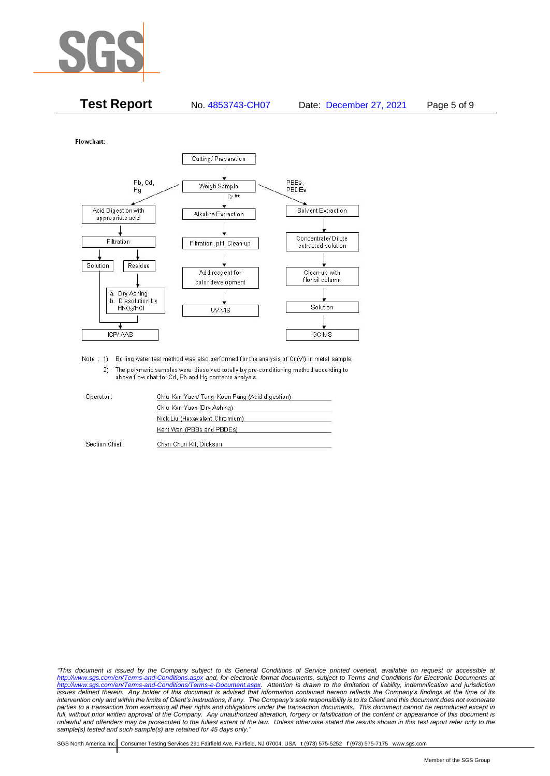

| <b>Test Report</b> | No. 4853743-CH07 | Date: December 27, 2021 | Page 5 of 9 |
|--------------------|------------------|-------------------------|-------------|
|                    |                  |                         |             |

Flowchart:



Note : 1) Boiling water test method was also performed for the analysis of Cr (VI) in metal sample. 2) The polymeric samples were dissolved totally by pre-conditioning method according to above flow chat for Cd, Pb and Hg contents analysis

| Operator       | Chiu Kan Yuen/ Tang Koon Pang (Acid digestion) |  |
|----------------|------------------------------------------------|--|
|                | Chiu Kan Yuen (Dry Ashing)                     |  |
|                | Nick Liu (Hexavalent Chromium)                 |  |
|                | Kent Wan (PBBs and PBDEs)                      |  |
| Section Chief: | Chan Chun Kit, Dickson                         |  |

*"This document is issued by the Company subject to its General Conditions of Service printed overleaf, available on request or accessible at <http://www.sgs.com/en/Terms-and-Conditions.aspx> and, for electronic format documents, subject to Terms and Conditions for Electronic Documents at [http://www.sgs.com/en/Terms-and-Conditions/Terms-e-Document.aspx.](http://www.sgs.com/en/Terms-and-Conditions/Terms-e-Document.aspx) Attention is drawn to the limitation of liability, indemnification and jurisdiction issues defined therein. Any holder of this document is advised that information contained hereon reflects the Company's findings at the time of its intervention only and within the limits of Client's instructions, if any. The Company's sole responsibility is to its Client and this document does not exonerate*  parties to a transaction from exercising all their rights and obligations under the transaction documents. This document cannot be reproduced except in *full, without prior written approval of the Company. Any unauthorized alteration, forgery or falsification of the content or appearance of this document is unlawful and offenders may be prosecuted to the fullest extent of the law. Unless otherwise stated the results shown in this test report refer only to the sample(s) tested and such sample(s) are retained for 45 days only."*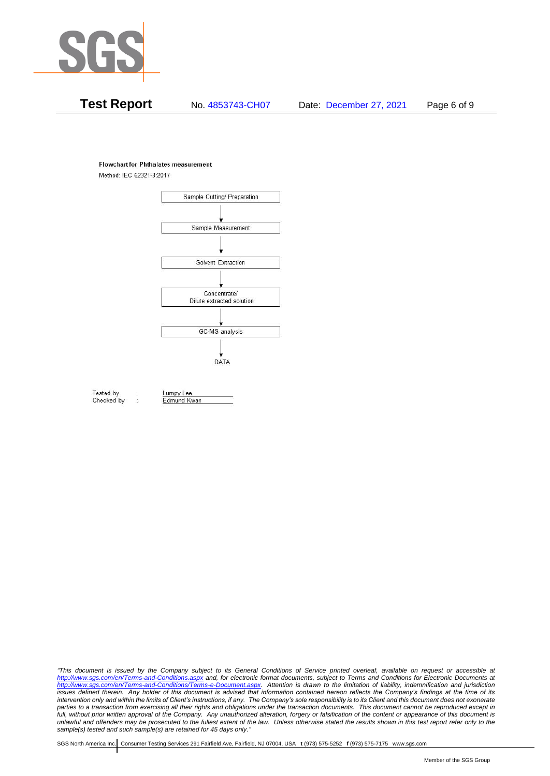

### **Flowchart for Phthalates measurement**

Method: IEC 62321-8:2017



Tested by Checked by Lumpy Lee

Edmund Kwan

*"This document is issued by the Company subject to its General Conditions of Service printed overleaf, available on request or accessible at <http://www.sgs.com/en/Terms-and-Conditions.aspx> and, for electronic format documents, subject to Terms and Conditions for Electronic Documents at [http://www.sgs.com/en/Terms-and-Conditions/Terms-e-Document.aspx.](http://www.sgs.com/en/Terms-and-Conditions/Terms-e-Document.aspx) Attention is drawn to the limitation of liability, indemnification and jurisdiction issues defined therein. Any holder of this document is advised that information contained hereon reflects the Company's findings at the time of its intervention only and within the limits of Client's instructions, if any. The Company's sole responsibility is to its Client and this document does not exonerate*  parties to a transaction from exercising all their rights and obligations under the transaction documents. This document cannot be reproduced except in *full, without prior written approval of the Company. Any unauthorized alteration, forgery or falsification of the content or appearance of this document is unlawful and offenders may be prosecuted to the fullest extent of the law. Unless otherwise stated the results shown in this test report refer only to the sample(s) tested and such sample(s) are retained for 45 days only."*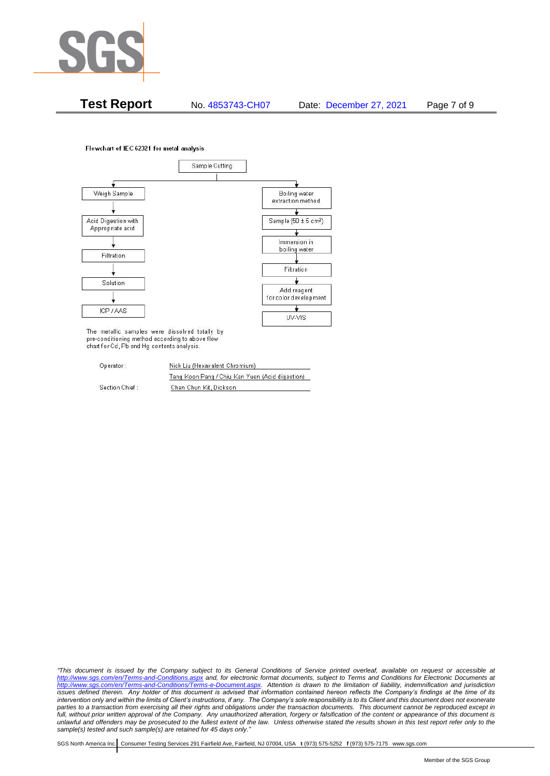

**Test Report** No. 4853743-CH07 Date: December 27, 2021 Page 7 of 9

Flowchart of IEC 62321 for metal analysis



The metallic samples were dissolved totally by pre-conditioning method according to above flow chart for Cd, Pb and Hg contents analysis.

| Operator:      | Nick Liu (Hexavalent Chromium)                  |  |  |
|----------------|-------------------------------------------------|--|--|
|                | Tang Koon Pang / Chiu Kan Yuen (Acid digestion) |  |  |
| Section Chief: | Chan Chun Kit, Dickson                          |  |  |

*"This document is issued by the Company subject to its General Conditions of Service printed overleaf, available on request or accessible at <http://www.sgs.com/en/Terms-and-Conditions.aspx> and, for electronic format documents, subject to Terms and Conditions for Electronic Documents at [http://www.sgs.com/en/Terms-and-Conditions/Terms-e-Document.aspx.](http://www.sgs.com/en/Terms-and-Conditions/Terms-e-Document.aspx) Attention is drawn to the limitation of liability, indemnification and jurisdiction issues defined therein. Any holder of this document is advised that information contained hereon reflects the Company's findings at the time of its intervention only and within the limits of Client's instructions, if any. The Company's sole responsibility is to its Client and this document does not exonerate parties to a transaction from exercising all their rights and obligations under the transaction documents. This document cannot be reproduced except in full, without prior written approval of the Company. Any unauthorized alteration, forgery or falsification of the content or appearance of this document is unlawful and offenders may be prosecuted to the fullest extent of the law. Unless otherwise stated the results shown in this test report refer only to the sample(s) tested and such sample(s) are retained for 45 days only."*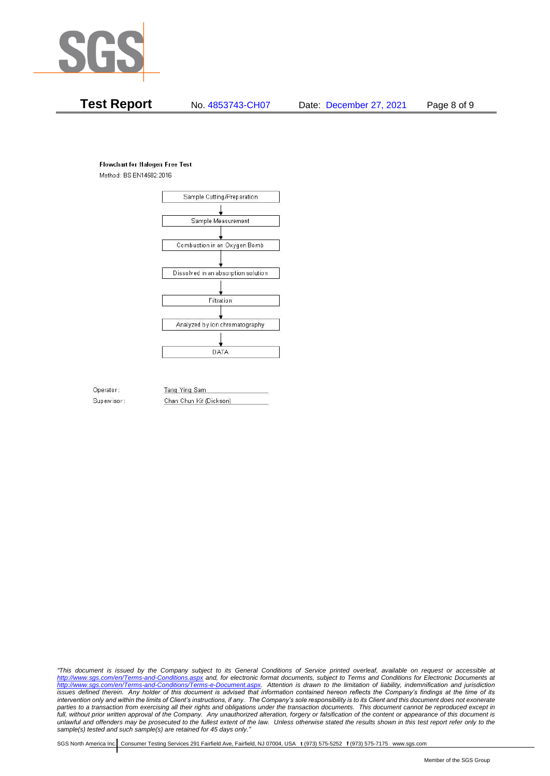

## **Flowchart for Halogen Free Test**

Method: BS EN14582:2016



Operator: Tang Ying Sam Supervisor: Chan Chun Kit (Dickson)

*"This document is issued by the Company subject to its General Conditions of Service printed overleaf, available on request or accessible at <http://www.sgs.com/en/Terms-and-Conditions.aspx> and, for electronic format documents, subject to Terms and Conditions for Electronic Documents at [http://www.sgs.com/en/Terms-and-Conditions/Terms-e-Document.aspx.](http://www.sgs.com/en/Terms-and-Conditions/Terms-e-Document.aspx) Attention is drawn to the limitation of liability, indemnification and jurisdiction issues defined therein. Any holder of this document is advised that information contained hereon reflects the Company's findings at the time of its intervention only and within the limits of Client's instructions, if any. The Company's sole responsibility is to its Client and this document does not exonerate*  parties to a transaction from exercising all their rights and obligations under the transaction documents. This document cannot be reproduced except in *full, without prior written approval of the Company. Any unauthorized alteration, forgery or falsification of the content or appearance of this document is unlawful and offenders may be prosecuted to the fullest extent of the law. Unless otherwise stated the results shown in this test report refer only to the sample(s) tested and such sample(s) are retained for 45 days only."*